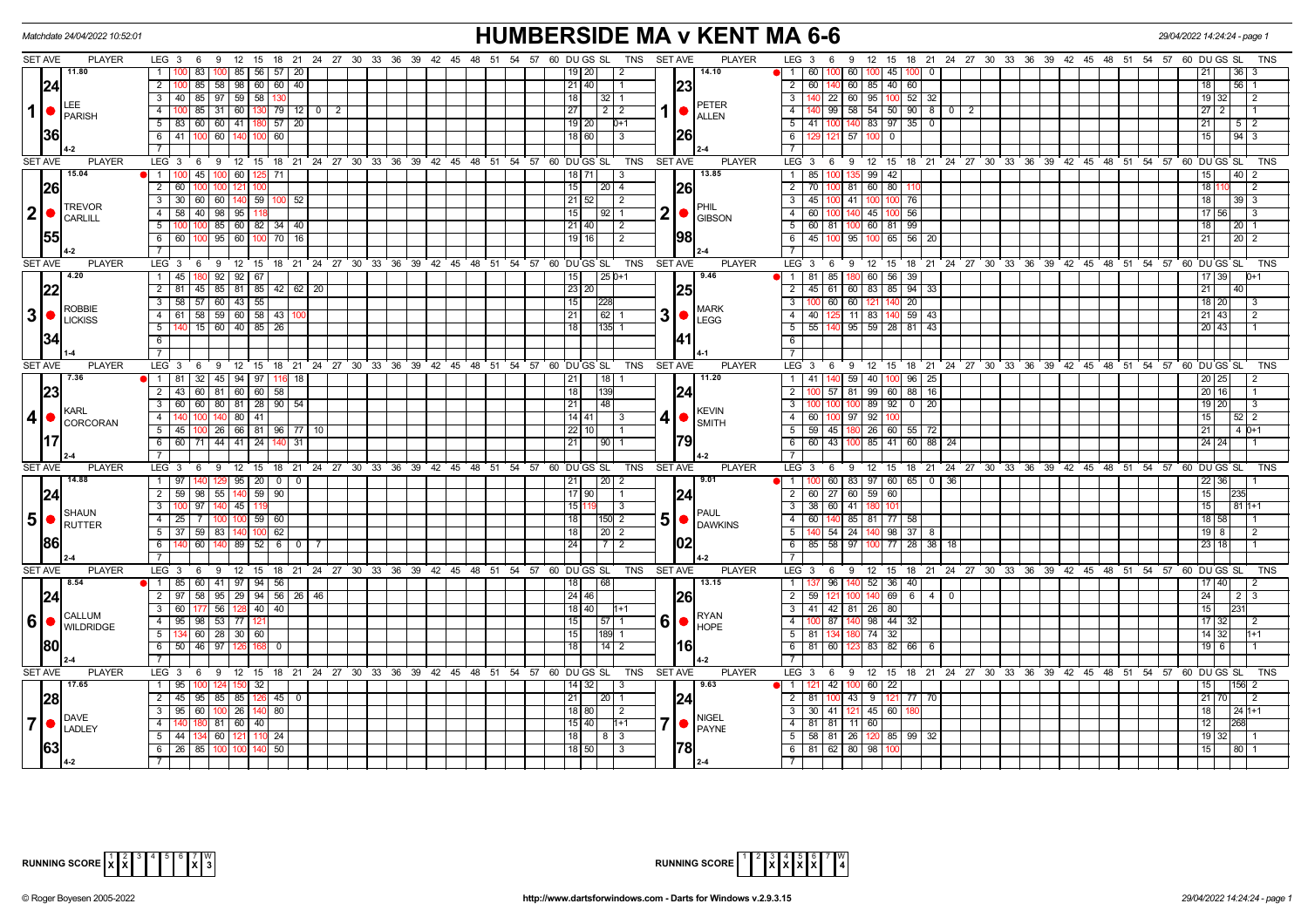|                             | Matchdate 24/04/2022 10:52:01               |                                                                                         | <b>HUMBERSIDE MA v KENT MA 6-6</b>                           |                                                                                              |                                                              |  |  |  |  |  |  |  |  |  |  |
|-----------------------------|---------------------------------------------|-----------------------------------------------------------------------------------------|--------------------------------------------------------------|----------------------------------------------------------------------------------------------|--------------------------------------------------------------|--|--|--|--|--|--|--|--|--|--|
| SET AVE                     | <b>PLAYER</b>                               | LEG 3 6 9 12 15 18 21 24 27 30 33 36 39 42 45 48 51 54 57 60 DUGS SL                    | <b>SET AVE</b><br><b>PLAYER</b><br><b>TNS</b>                | LEG <sub>3</sub><br>9 12 15 18 21 24 27 30 33 36 39 42 45 48 51 54 57 60 DU GS SL<br>6       | TNS                                                          |  |  |  |  |  |  |  |  |  |  |
|                             | 11.80                                       | 100 85 56 57 20                                                                         | 14.10<br>191201<br>2                                         | 1   60<br>60 1<br>45 10                                                                      | 36 I<br>21                                                   |  |  |  |  |  |  |  |  |  |  |
| 24                          |                                             | 2   100   85<br>58 98 60 60 40                                                          | 21 40 <br>23                                                 | 2 60 <br>60 85 40 60<br>140                                                                  | 18<br>$56$   1                                               |  |  |  |  |  |  |  |  |  |  |
|                             | LEE                                         | 3   40   85   97   59   58  <br>130                                                     | 18 <br>32<br><b>PETER</b>                                    | $100$ 52 32<br>$\overline{\phantom{a}3}$<br>22 60 95                                         | $\overline{19}$<br>$\overline{2}$<br>32                      |  |  |  |  |  |  |  |  |  |  |
| $1$ $\bullet$               | PARISH                                      | $\overline{4}$<br>$100$ 85<br>$31 \ 60 \ 130 \ 79 \ 12 \ 0 \ 2$                         | 27 <br>  2   2<br><b>ALLEN</b>                               | $99$ 58 54 50 90 8 0 2<br>$\overline{4}$                                                     | 27<br>$\overline{11}$<br>2                                   |  |  |  |  |  |  |  |  |  |  |
|                             | 36                                          | 5 83 60 60 41 180 57 20                                                                 | $\sqrt{19}$   20 <br>$D+1$                                   | $5 \mid 41 \mid$<br>$100$ 140 83 97 35 0                                                     | 21<br>$\begin{array}{c c c c c} 5 & 2 \\ \hline \end{array}$ |  |  |  |  |  |  |  |  |  |  |
|                             |                                             | 6 41 100 60 140 100 60                                                                  | 1261<br>  18   60  <br>l 3                                   | 6<br>121 57 100<br>$\overline{0}$                                                            | 15<br> 94 3                                                  |  |  |  |  |  |  |  |  |  |  |
|                             |                                             | $\overline{7}$                                                                          |                                                              | $\overline{7}$                                                                               |                                                              |  |  |  |  |  |  |  |  |  |  |
| <b>SET AVE</b>              | <b>PLAYER</b>                               | $LEG_3$ 6<br>9 12 15 18 21 24 27 30 33 36 39 42 45 48 51 54 57 60 DUGS SL               | <b>TNS</b><br><b>SET AVE</b><br><b>PLAYER</b>                | LEG <sub>3</sub><br>6 9 12 15 18 21 24 27 30 33 36 39 42 45 48 51 54 57 60 DUGS SL           | TNS                                                          |  |  |  |  |  |  |  |  |  |  |
|                             | 15.04<br>26                                 | $\overline{1}$<br>$100$ 45<br>100 60 125 71                                             | 13.85<br>18   71  <br>3                                      | 100 135 99 42<br>1   85                                                                      | 40 2<br>15                                                   |  |  |  |  |  |  |  |  |  |  |
|                             |                                             | $\overline{2}$<br>60                                                                    | 26<br>15<br>20<br>$\vert$ 4                                  | 2 <sup>1</sup><br>80<br>81 60<br>70<br>100                                                   | 18<br>$\overline{2}$                                         |  |  |  |  |  |  |  |  |  |  |
|                             |                                             | $3   30   60   60   140   59   100   52$                                                | 21   52  <br>$\vert$ 2<br>PHIL                               | $3 \mid 45$<br>100 41 1<br>100 76                                                            | 18 <br>$39 \mid 3$                                           |  |  |  |  |  |  |  |  |  |  |
| $\boldsymbol{2}$            | <b>TREVOR</b><br><b>CARLILL</b>             | 4 58 40 98 95 118                                                                       | $2  \bullet  _{\text{GIBSON}}$<br>l 15 I<br>I 92 I 1         | $100$ 56<br>4   60  <br>100   140   45                                                       | 17   56  <br>$\overline{3}$                                  |  |  |  |  |  |  |  |  |  |  |
|                             |                                             | 5<br>85 60 82 34 40                                                                     | 21   40  <br>l 2                                             | 5   60<br>81 100 60 81 99                                                                    | 18  <br>  20   1                                             |  |  |  |  |  |  |  |  |  |  |
| <b>155</b>                  |                                             | 95 60 100 70 16<br>6<br>60                                                              | 1981<br>19   16  <br>2                                       | $6 \mid 45$<br>65 56 20<br>100 l<br>95 100                                                   | 21<br>$20$   2                                               |  |  |  |  |  |  |  |  |  |  |
|                             |                                             | $\overline{7}$                                                                          |                                                              | $\overline{7}$                                                                               |                                                              |  |  |  |  |  |  |  |  |  |  |
| <b>SET AVE</b>              | <b>PLAYER</b>                               | $LEG$ 3 6<br>$12 \quad 15$<br>18 21 24 27 30 33 36 39 42 45 48 51 54 57 60 DUGS SL<br>9 | <b>TNS</b><br><b>SET AVE</b><br><b>PLAYER</b>                | LEG <sup>3</sup><br>$9 \t12$<br>15 18 21 24 27 30 33 36 39 42 45 48 51 54 57 60 DUGS SL<br>6 | <b>TNS</b>                                                   |  |  |  |  |  |  |  |  |  |  |
|                             | 4.20                                        | 1 45 180 92 92 67                                                                       | $ 25 0+1$<br>9.46<br>15                                      | 85   180 60   56   39<br>$1$ 81                                                              | $17$ 39<br>$D+1$                                             |  |  |  |  |  |  |  |  |  |  |
| 22                          |                                             | 2   81   45   85   81   85   42   62   20                                               | 25<br> 23 20                                                 | 2 45 61 60 83 85 94 33                                                                       | 21<br>40 l                                                   |  |  |  |  |  |  |  |  |  |  |
|                             |                                             | $\overline{3}$<br>58 57 60 43 55                                                        | 228<br> 15                                                   | $140$ 20<br>$\overline{3}$<br>60 60 121                                                      | $18$   20 <br>l 3                                            |  |  |  |  |  |  |  |  |  |  |
| 3                           | <b>ROBBIE</b><br>$\bigcup_{\text{LICKISS}}$ | 59 60 58 43<br>4<br>61<br>58                                                            | <b>MARK</b><br>3 <sup>l</sup><br>21<br>62<br><b>LEGG</b>     | $-4$<br>140 59 43<br>40<br>11 83                                                             | 21   43  <br>$\overline{2}$                                  |  |  |  |  |  |  |  |  |  |  |
|                             |                                             | 15 60 40 85 26<br>5                                                                     | 135<br>l 18 l                                                | $5 \mid 55$<br>140 95 59 28 81 43                                                            | 20 43                                                        |  |  |  |  |  |  |  |  |  |  |
| 134                         |                                             | 6                                                                                       |                                                              | $6\overline{6}$                                                                              |                                                              |  |  |  |  |  |  |  |  |  |  |
|                             |                                             | $7^{\circ}$                                                                             |                                                              | $\overline{7}$                                                                               |                                                              |  |  |  |  |  |  |  |  |  |  |
| <b>SET AVE</b>              | <b>PLAYER</b>                               | LEG <sub>3</sub><br>9 12 15 18 21 24 27 30 33 36 39 42 45 48 51 54 57 60 DUGS SL<br>- 6 | <b>TNS</b><br><b>SET AVE</b><br><b>PLAYER</b>                | LEG 3<br>9 12<br>15 18 21 24 27 30 33 36 39 42 45 48 51 54 57 60 DUGS SL<br>- 6              | TNS                                                          |  |  |  |  |  |  |  |  |  |  |
|                             | 7.36                                        | 1   81<br>32 45 94 97 116<br>18                                                         | 11.20<br>18                                                  | 1   41<br>59<br>40<br>96<br>25                                                               | 20 25                                                        |  |  |  |  |  |  |  |  |  |  |
| 23                          |                                             | 2   43   60   81   60   60   58                                                         | 18  <br>139<br>24                                            | $2$ 1<br>57   81   99   60   88   16                                                         | $\sqrt{20}$ 16                                               |  |  |  |  |  |  |  |  |  |  |
|                             | KARL                                        | $\overline{\phantom{a}3}$<br>60 60 80 81 28 90 54                                       | 48<br><b>KEVIN</b>                                           | $92$ 0 20<br>$\overline{3}$<br>100 89<br>m                                                   | $19$   20<br>l 3                                             |  |  |  |  |  |  |  |  |  |  |
| 4 <sub>1</sub><br>$\bullet$ | CORCORAN                                    | 140 80 41<br>$\overline{4}$                                                             | 14   41  <br>4١<br>- 3<br><b>ISMITH</b>                      | $4 \mid 60$<br>100 97 92<br>ഥറ                                                               | 15 <sup>1</sup><br>$52$   $\overline{2}$                     |  |  |  |  |  |  |  |  |  |  |
|                             |                                             | $5$   45   100   26   66   81   96   77   10                                            | 22   10                                                      | 5   59   45   180   26   60   55   72                                                        | 21<br>4 0+1                                                  |  |  |  |  |  |  |  |  |  |  |
| 117                         |                                             | 6 6 60 71 44 41 24 140 31                                                               | 79<br>l 21 l<br> 90 1                                        | 6 6 6 43 100 85 41 60 88 24                                                                  | $24$   24                                                    |  |  |  |  |  |  |  |  |  |  |
|                             |                                             | $\overline{7}$                                                                          |                                                              | $\overline{7}$                                                                               |                                                              |  |  |  |  |  |  |  |  |  |  |
| SET AVE                     | <b>PLAYER</b>                               | $LEG_3$ 6<br>9 12 15 18 21 24 27 30 33 36 39 42 45 48 51 54 57 60 DUGS SL               | TNS<br><b>SET AVE</b><br><b>PLAYER</b>                       | LEG <sub>3</sub><br>6 9 12 15 18 21 24 27 30 33 36 39 42 45 48 51 54 57 60 DUGS SL           | TNS                                                          |  |  |  |  |  |  |  |  |  |  |
|                             | 14.88                                       | 1   97   140   129   95   20   0   0                                                    | 9.01<br>$\sqrt{20}$ 2<br>  21                                | 1   100   60   83   97   60   65   0   36                                                    | $22$ 36                                                      |  |  |  |  |  |  |  |  |  |  |
| 24                          |                                             | $\overline{2}$<br>$59$ 98<br>55 140 59 90                                               | $\sqrt{17}90$<br>24                                          | 2 60 <br>27 60 59<br>60                                                                      | 15<br>235                                                    |  |  |  |  |  |  |  |  |  |  |
|                             | SHAUN                                       | $3^{\circ}$<br>l 97<br>140 45 11!                                                       | 15111<br>l 3<br><b>PAUL</b>                                  | $60$   41<br>3   38  <br>۱n                                                                  | 15<br>  81   1+1                                             |  |  |  |  |  |  |  |  |  |  |
| $5\phantom{1}$<br>$\bullet$ | <b>RUTTER</b>                               | $4 \mid 25 \mid 7$<br>100 100 59 60                                                     | $5\bullet$<br>  18  <br>$ 150 $ 2<br><b>DAWKINS</b>          | 140 85 81 77 58<br>4 60 1                                                                    | $18$ 58                                                      |  |  |  |  |  |  |  |  |  |  |
|                             |                                             | 5 37 59<br>83<br>100 62                                                                 | $\vert 20 \vert 2$<br>l 18 l                                 | $5 \vert$<br>54 24 14<br>98 37 8                                                             | $19$ 8<br>$\overline{2}$                                     |  |  |  |  |  |  |  |  |  |  |
| 1861                        |                                             | 6<br>89 52<br>$6 \mid$<br>60<br>$\circ$ 1                                               | 7   2                                                        | $58$   97<br>$6$ 1<br>77 28 38<br>85<br>18                                                   | 23 I<br>18                                                   |  |  |  |  |  |  |  |  |  |  |
|                             |                                             | $\overline{7}$                                                                          |                                                              |                                                                                              |                                                              |  |  |  |  |  |  |  |  |  |  |
| SET AVE                     | <b>PLAYER</b><br>8.54                       | $LEG_3$ 6<br>9 12 15<br>18 21 24 27 30 33 36 39 42 45 48 51 54 57                       | 60 DU GS SL<br><b>TNS</b><br><b>SET AVE</b><br><b>PLAYER</b> | LEG 3<br>$9 \t12$<br>15 18 21 24 27 30 33 36 39 42 45 48 51 54 57 60 DUGS SL<br>6            | <b>TNS</b>                                                   |  |  |  |  |  |  |  |  |  |  |
|                             |                                             | $\bullet$   1   85   60   41   97   94   56                                             | 13.15<br> 68                                                 | 96   140   52   36   40  <br>$\overline{1}$                                                  | $17$  40 <br>$\overline{2}$                                  |  |  |  |  |  |  |  |  |  |  |
| 24                          |                                             | 2   97   58   95   29   94   56   26   46  <br>60 177 56 128 40 40                      | <b>26</b><br>$\sqrt{24}$  46                                 | $2 \mid 59$<br>69 6 4 0                                                                      | 24<br>  2   3                                                |  |  |  |  |  |  |  |  |  |  |
|                             | CALLUM                                      | $\overline{3}$                                                                          | l 18   40 l<br><b>RYAN</b>                                   | 3 41 42 81 26 80                                                                             | 15                                                           |  |  |  |  |  |  |  |  |  |  |
| $6\phantom{1}6$             | WILDRIDGE                                   | 4 95 98 53 77                                                                           | 6 <sub>1</sub><br>57<br><b>HOPE</b>                          | $-4$<br>87<br>140 98<br>$44 \overline{32}$                                                   | 17<br>l 2                                                    |  |  |  |  |  |  |  |  |  |  |
|                             |                                             | 5 <sub>1</sub><br>134 60 28 30 60                                                       | 189<br> 15 <br>l16l                                          | 32<br>$5 \mid 81$<br>134 180 74                                                              | $14$ 32<br>$1 + 1$                                           |  |  |  |  |  |  |  |  |  |  |
|                             | 80                                          | $\overline{6}$<br>$50$ 46 97<br>$\mathbf 0$<br>$\overline{7}$                           | $\overline{14}$                                              | $6$   81  <br>60<br>82 66<br>83<br>6<br>$\overline{7}$                                       | $19$ 6                                                       |  |  |  |  |  |  |  |  |  |  |
| <b>SET AVE</b>              | <b>PLAYER</b>                               | LEG 3 6 9 12 15 18 21 24 27 30 33 36 39 42 45 48 51 54 57 60 DUGS SL                    | <b>SET AVE</b><br><b>PLAYER</b><br>TNS                       | LEG <sup>3</sup><br>6 9 12 15 18 21 24 27 30 33 36 39 42 45 48 51 54 57 60 DUGS SL           | <b>TNS</b>                                                   |  |  |  |  |  |  |  |  |  |  |
|                             | 17.65                                       | 1 <sup>1</sup><br>95<br>32<br>124                                                       | 9.63                                                         | $\overline{1}$<br>42 100 60<br>22                                                            | 156 2<br>15                                                  |  |  |  |  |  |  |  |  |  |  |
|                             |                                             | 2 <sup>1</sup><br>85 85 126<br>45 95<br>45<br>$\overline{0}$                            | 24<br>21<br>20                                               | $2 \mid 81$<br>100 <sub>1</sub><br>43 9<br>121 77 70                                         | 21<br>$\overline{2}$<br>70 I                                 |  |  |  |  |  |  |  |  |  |  |
| 28                          |                                             | 100 26 140 80<br>3 <sup>1</sup><br>95 60                                                | 18   80  <br>$\sqrt{2}$                                      | 3 I<br>41   121<br>45<br>60<br>30 I                                                          | 18<br>24 1+1                                                 |  |  |  |  |  |  |  |  |  |  |
| 7                           | DAVE                                        | $\overline{4}$<br>81 60 40                                                              | <b>NIGEL</b><br>15 40 <br>$1 + 1$                            | $4 \mid 81$<br>81   11   60                                                                  | 12<br> 268                                                   |  |  |  |  |  |  |  |  |  |  |
|                             | $\bullet$<br>LADLEY<br>63                   | $5 \mid 44 \mid 134 \mid 60 \mid 121$<br>110 24                                         | <b>PAYNE</b><br>  18  <br> 8 3                               | 5   58   81   26   120   85   99   32                                                        | 19 32                                                        |  |  |  |  |  |  |  |  |  |  |
|                             |                                             | 6 26 85 100 100 140 50                                                                  | 18   50  <br>3                                               | 6 81 62 80 98<br>100                                                                         | 15<br> 80  1                                                 |  |  |  |  |  |  |  |  |  |  |
|                             |                                             |                                                                                         |                                                              |                                                                                              |                                                              |  |  |  |  |  |  |  |  |  |  |



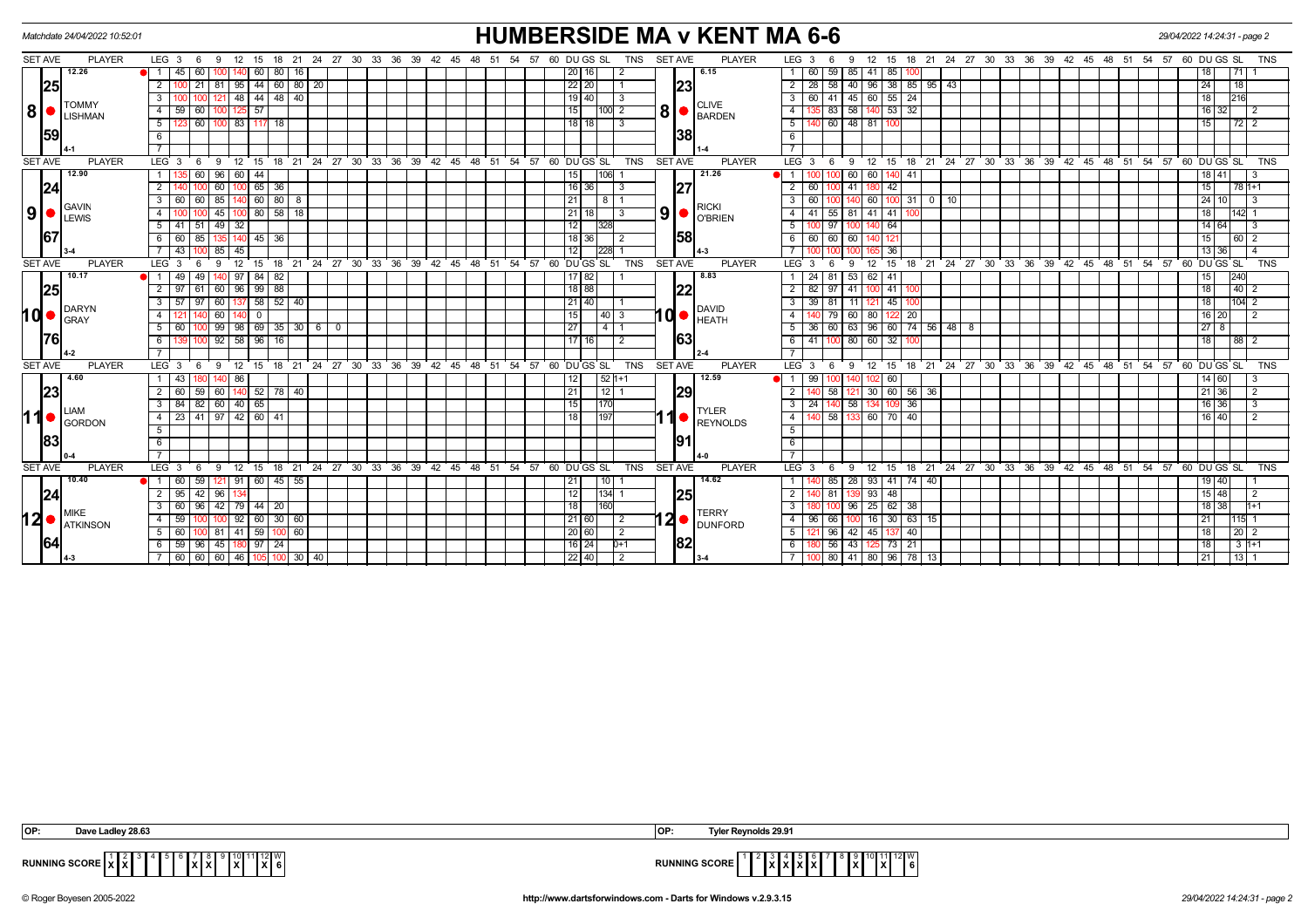| <b>HUMBERSIDE MA v KENT MA 6-6</b><br>Matchdate 24/04/2022 10:52:01<br>29/04/2022 14:24:31 - page 2 |                                     |                                                                        |                                                                       |                                                                                                         |                                                                                                           |                                       |  |  |  |  |
|-----------------------------------------------------------------------------------------------------|-------------------------------------|------------------------------------------------------------------------|-----------------------------------------------------------------------|---------------------------------------------------------------------------------------------------------|-----------------------------------------------------------------------------------------------------------|---------------------------------------|--|--|--|--|
| <b>SET AVE</b>                                                                                      | <b>PLAYER</b>                       | LEG 3<br>12<br>15<br>- 6<br>- 9                                        | 18  21  24  27  30  33  36  39  42  45  48  51  54  57  60  DU GS  SL | <b>SET AVE</b><br><b>TNS</b><br><b>PLAYER</b>                                                           | LEG <sub>3</sub><br>12 15 18 21 24 27 30 33 36 39 42 45 48 51 54 57 60 DUGS SL<br>- 6<br>9                | <b>TNS</b>                            |  |  |  |  |
|                                                                                                     | 12.26                               | 60<br>$\blacksquare$ 1 1<br>45<br>60<br>80   16                        |                                                                       | 6.15<br>20 16 <br>$\overline{2}$                                                                        | 59<br>85<br>85<br>1   60<br>41                                                                            | 18 <sup>1</sup><br>I 71 L             |  |  |  |  |
| 25                                                                                                  |                                     | $\overline{2}$<br>81 95 44 60 80 20<br>21                              |                                                                       | 23 <br>22 20<br>$\overline{1}$                                                                          | $\overline{58}$<br>40   96   38   85   95   43<br>$2 \mid 28 \mid$                                        | 24<br><u> 18 I</u>                    |  |  |  |  |
|                                                                                                     | <b>TOMMY</b><br><b>USHMAN</b><br>59 | 44<br>$48 \mid 40$<br>$\overline{3}$<br>48                             |                                                                       | 19 40<br>3<br><b>CLIVE</b>                                                                              | 45 60 55 24<br>41<br>$\overline{3}$<br>60                                                                 | 18<br>216                             |  |  |  |  |
| 8 <sup>1</sup>                                                                                      |                                     | $\sqrt{60}$<br>100 125 57<br>59<br>4 I                                 |                                                                       | 8 <sup>1</sup><br>15<br>$100$ 2<br>$\blacksquare$ BARDEN                                                | 58 140 53 32<br>83<br>$\overline{4}$                                                                      | $16$ 32<br>$\overline{12}$            |  |  |  |  |
|                                                                                                     |                                     | 60<br>5<br>100 83<br>117<br>18                                         |                                                                       | 18 18<br>Γ3                                                                                             | 60 48 81<br>5                                                                                             | 15<br> 72 2                           |  |  |  |  |
|                                                                                                     |                                     | 6                                                                      |                                                                       | 38                                                                                                      | 6                                                                                                         |                                       |  |  |  |  |
|                                                                                                     |                                     | $\overline{7}$                                                         |                                                                       |                                                                                                         | $\overline{7}$                                                                                            |                                       |  |  |  |  |
| <b>SET AVE</b>                                                                                      | <b>PLAYER</b>                       | LEG <sub>3</sub><br>$^{\circ}$ 12<br>15<br>6<br>9                      | 18 21 24 27 30 33 36 39 42 45 48 51 54 57 60 DUGS SL                  | <b>TNS</b><br><b>SET AVE</b><br><b>PLAYER</b>                                                           | 18 21 24 27 30 33 36 39 42 45 48 51 54 57 60 DUGS SL<br>$LEG^3$ 3<br>12<br>-9<br>15<br>6                  | <b>TNS</b>                            |  |  |  |  |
|                                                                                                     | 12.90                               | 60<br>96 60<br>44<br>1 <sup>1</sup>                                    |                                                                       | 21.26<br>15<br>106                                                                                      | 60<br>$\overline{1}$<br>60<br>41                                                                          | 18   41  <br>-3                       |  |  |  |  |
| 24                                                                                                  |                                     | $\overline{2}$<br>$65 \mid 36 \mid$<br>60                              |                                                                       | 27<br>16 36<br>IЗ                                                                                       | $\overline{2}$<br>60<br>41<br>42<br>100                                                                   | 15<br>l 78 h+1                        |  |  |  |  |
|                                                                                                     | <b>GAVIN</b>                        | 60<br>$80$   8<br>$\mathbf{3}$<br>60<br>85<br>60                       |                                                                       | 21<br><b>RICKI</b>                                                                                      | 3<br>60<br>60<br>31<br>10<br>- 0                                                                          | 24 <sup>1</sup><br>-3                 |  |  |  |  |
| 9                                                                                                   | $\blacksquare$ LEWIS                | 80 58 18<br>45<br>4                                                    |                                                                       | 9<br>$21$   18<br>3<br><b>C</b> BRIEN                                                                   | 55   81<br>41 41<br>4 I<br>41                                                                             | 18 I<br>142 1                         |  |  |  |  |
|                                                                                                     |                                     | 5 <sup>1</sup><br>51<br>49<br>l 32<br>-41                              |                                                                       | 12 <sub>1</sub><br>328                                                                                  | $5^{\circ}$<br>97<br>64                                                                                   | 14 64<br>-3                           |  |  |  |  |
| 67                                                                                                  |                                     | 85<br>$45 \mid 36 \mid$<br>6   60  <br>135 140                         |                                                                       | 58<br>18 36 1<br>l 2                                                                                    | 6 60 60<br>60 I<br>121                                                                                    | 15<br>16012                           |  |  |  |  |
|                                                                                                     |                                     | 43<br>85<br>l 45                                                       |                                                                       | 12 <sub>1</sub><br>228                                                                                  | 36                                                                                                        | 13 36<br>$\overline{a}$               |  |  |  |  |
| <b>SET AVE</b>                                                                                      | <b>PLAYER</b>                       | LEG <sup>3</sup><br>$^{\circ}$ 12<br>9<br>15<br>6                      | 18 21 24 27 30 33 36 39 42 45 48 51 54 57 60 DUGS SL                  | SET AVE<br><b>TNS</b><br><b>PLAYER</b>                                                                  | 18 21 24 27 30 33 36 39 42 45 48 51 54 57 60 DUGS SL<br>LEG <sup>3</sup><br>15<br>9<br>12<br>6            | <b>TNS</b>                            |  |  |  |  |
|                                                                                                     | 10.17<br> 25                        | 49<br>49<br>$\sqrt{97}$<br>84 I<br>82<br>OI 1 I                        |                                                                       | 17   82<br>8.83                                                                                         | 53<br>81<br>41<br>1 I<br>24<br>62 I                                                                       | 15 I<br>240                           |  |  |  |  |
|                                                                                                     |                                     | $2 \mid 97$<br>$60$ 96 99 88<br>61                                     |                                                                       | 22<br>18 88                                                                                             | $2 \mid 82 \mid$<br>$\sqrt{97}$<br>41 100 41                                                              | 18<br> 40 2                           |  |  |  |  |
|                                                                                                     | DARYN                               | $\overline{581}$<br>$52 \mid 40$<br>$\mathbf{3}$<br>57<br>97<br>60 137 |                                                                       | $21$   40  <br><b>DAVID</b>                                                                             | 45<br>81<br>3<br>39<br>11   121                                                                           | 18<br>$104$ 2                         |  |  |  |  |
| 10                                                                                                  | <b>GRAY</b>                         | 4 I<br>60 140<br>$\mathbf 0$                                           |                                                                       | $10$ $\bullet$ $\stackrel{\text{b}}{\text{HEATH}}$<br>$\overline{15}$<br>$\overline{40}$ $\overline{3}$ | 79<br>122 20<br>4<br>60 80                                                                                | $16$   20  <br>$\overline{2}$         |  |  |  |  |
|                                                                                                     |                                     | $69$ 35 30 6 0<br>5<br>99 98<br>60                                     |                                                                       | 27<br>1411                                                                                              | $60$ 63 96 60 74 56 48 8<br>5<br>36                                                                       | $\boxed{27}$ 8                        |  |  |  |  |
| <u> 1761</u>                                                                                        |                                     | $92$ 58 96 16<br>$6 \mid$<br>100                                       |                                                                       | 63<br>$17$ 16<br>$\overline{2}$                                                                         | $6 \mid 41$<br>80   60   32<br>100 <sup>1</sup>                                                           | 18 <sup>1</sup><br>88 2               |  |  |  |  |
|                                                                                                     |                                     | $\overline{7}$                                                         |                                                                       |                                                                                                         |                                                                                                           |                                       |  |  |  |  |
| <b>SET AVE</b>                                                                                      | <b>PLAYER</b>                       | LEG <sub>3</sub><br>$9 \quad 12$<br>15<br>6                            | 18 21 24 27 30 33 36 39 42 45 48 51 54 57 60 DUGS SL                  | <b>TNS</b><br><b>SET AVE</b><br><b>PLAYER</b>                                                           | 18 21 24 27 30 33 36 39 42 45 48 51 54 57 60 DUGS SL<br>LEG <sub>3</sub><br>12<br>15<br>6<br>9            | <b>TNS</b>                            |  |  |  |  |
|                                                                                                     | 4.60                                | 43<br>86<br>1 I                                                        |                                                                       | 12.59<br>$ 52 1+1$<br>12 <sub>1</sub>                                                                   | 99<br>60                                                                                                  | 14 60 <br>-3                          |  |  |  |  |
| 23                                                                                                  |                                     | $\overline{2}$<br>59<br>60 140 52 78 40<br>60 l                        |                                                                       | 29 <br>21<br>  12   1                                                                                   | $\overline{2}$<br>58<br>30 60 56 36                                                                       | 21   36  <br>$\overline{2}$           |  |  |  |  |
|                                                                                                     | <b>LIAM</b>                         | 65<br>82<br>$\mathbf{3}$<br>84<br>60 40                                |                                                                       | 15<br><b>TYLER</b>                                                                                      | $\mathbf{3}$<br>58<br>36<br>24                                                                            | 16 36<br>-3                           |  |  |  |  |
| 11                                                                                                  | <b>O</b> GORDON                     | 41 97 42 60 41<br>23 <sub>1</sub><br>4 I                               |                                                                       | 18<br>197<br>REYNOLDS                                                                                   | 58<br>133 60 70 40<br>4                                                                                   | 16   40  <br>$\overline{2}$           |  |  |  |  |
|                                                                                                     |                                     | 5                                                                      |                                                                       |                                                                                                         | 5                                                                                                         |                                       |  |  |  |  |
| 83                                                                                                  |                                     | 6                                                                      |                                                                       | 91                                                                                                      | 6                                                                                                         |                                       |  |  |  |  |
|                                                                                                     |                                     | $\overline{7}$                                                         |                                                                       |                                                                                                         | $\overline{7}$                                                                                            |                                       |  |  |  |  |
| <b>SET AVE</b>                                                                                      | <b>PLAYER</b>                       | LEG <sub>3</sub><br>$12 \quad 15$<br>9<br>- 6                          | 18 21 24 27 30 33 36 39 42 45 48 51 54 57 60 DUGS SL                  | <b>TNS</b><br><b>SET AVE</b><br><b>PLAYER</b>                                                           | 18 21 24 27 30 33 36 39 42 45 48 51 54 57 60 DUGS SL<br>LEG <sup>3</sup><br>$^{\circ}$ 12<br>15<br>9<br>6 | <b>TNS</b>                            |  |  |  |  |
|                                                                                                     | 10.40                               | 59<br>  91  60  45  55 <br>$\bullet$ 1 60<br>$12^{\circ}$              |                                                                       | 14.62<br>10<br>21                                                                                       | 85   28   93   41   74   40<br>$\mathbf{1}$                                                               | 19   40                               |  |  |  |  |
| 24                                                                                                  |                                     | $2 \overline{95}$<br>42 96 134                                         |                                                                       | 25 <br>12<br>$134$ 1                                                                                    | $\overline{2}$<br>81<br>48<br>139 93                                                                      | $15$  48 <br>$\sqrt{2}$               |  |  |  |  |
|                                                                                                     | MIKE                                | 96<br>44<br>$\overline{\mathbf{3}}$<br>60<br>42 79<br>20               |                                                                       | 18<br>160<br><b>TERRY</b>                                                                               | $25 \mid 62$<br>3<br>96<br>38                                                                             | $1 + 1$<br>$18$ 38                    |  |  |  |  |
| 12I●                                                                                                | <b>ATKINSON</b>                     | $100$ 92 60 30 60<br>59<br>4 I                                         |                                                                       | $12 \bullet  _{\text{DUNFORD}}$<br>21 60 <br>$\sqrt{2}$                                                 | $100$ 16 30 63 15<br>66<br>4 I<br>96                                                                      | 21<br>115 1                           |  |  |  |  |
|                                                                                                     |                                     | $5 \vert$<br>59<br>60<br>60<br>81<br>l 41                              |                                                                       | 20 60 <br>$\overline{2}$                                                                                | 5<br>96<br>40<br>45<br>42<br>137                                                                          | $\vert 20 \vert 2$<br>18 <sup>1</sup> |  |  |  |  |
| 164                                                                                                 |                                     | 180 97 24<br>59<br>96<br>$-45$ 1<br>- 6 I                              |                                                                       | 82<br>16 24 <br>0+1                                                                                     | 56<br>43 125 73 21<br>$6 \overline{6}$                                                                    | 18<br>  3   1+1                       |  |  |  |  |
|                                                                                                     |                                     | 60<br>60 46<br>40<br>60<br>30 l                                        |                                                                       | 22 40 <br>$\overline{2}$                                                                                | 80 41 80<br>- 96<br>78 13                                                                                 | 13 1<br>21                            |  |  |  |  |

| IOP:                  | ---<br>п.<br>, 28.F                | <b>OP</b>            | eynolds 29.9′                                                             |
|-----------------------|------------------------------------|----------------------|---------------------------------------------------------------------------|
|                       | 11 12 IW .                         | <b>RUNNING SCORE</b> | 1112W<br>.                                                                |
| RUNNING SCORE   X   X | IXI 61<br>1X I<br>80. X 80.<br>. . |                      | $\mathbf{I}$ X<br>$\mathbf{I} \times \mathbf{I}$<br>l XI<br><b>\IAIAI</b> |